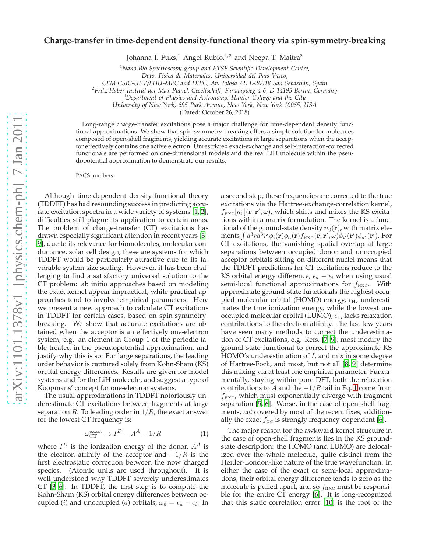## **Charge-transfer in time-dependent density-functional theory via spin-symmetry-breaking**

Johanna I. Fuks,<sup>1</sup> Angel Rubio,<sup>1,2</sup> and Neepa T. Maitra<sup>3</sup>

*<sup>1</sup>Nano-Bio Spectroscopy group and ETSF Scientific Development Centre,*

*Dpto. F´ısica de Materiales, Universidad del Pa´ıs Vasco,*

*CFM CSIC-UPV/EHU-MPC and DIPC, Av. Tolosa 72, E-20018 San Sebasti´an, Spain*

*2 Fritz-Haber-Institut der Max-Planck-Gesellschaft, Faradayweg 4-6, D-14195 Berlin, Germany*

*<sup>3</sup>Department of Physics and Astronomy, Hunter College and the City*

*University of New York, 695 Park Avenue, New York, New York 10065, USA*

(Dated: October 26, 2018)

Long-range charge-transfer excitations pose a major challenge for time-dependent density functional approximations. We show that spin-symmetry-breaking offers a simple solution for molecules composed of open-shell fragments, yielding accurate excitations at large separations when the acceptor effectively contains one active electron. Unrestricted exact-exchange and self-interaction-corrected functionals are performed on one-dimensional models and the real LiH molecule within the pseudopotential approximation to demonstrate our results.

PACS numbers:

Although time-dependent density-functional theory (TDDFT) has had resounding success in predicting accurate excitation spectra in a wide variety of systems [\[1,](#page-4-0) [2](#page-4-1)], difficulties still plague its application to certain areas. The problem of charge-transfer (CT) excitations has drawn especially significant attention in recent years [\[3](#page-4-2)– [9](#page-4-3)], due to its relevance for biomolecules, molecular conductance, solar cell design; these are systems for which TDDFT would be particularly attractive due to its favorable system-size scaling. However, it has been challenging to find a satisfactory universal solution to the CT problem: ab initio approaches based on modeling the exact kernel appear impractical, while practical approaches tend to involve empirical parameters. Here we present a new approach to calculate CT excitations in TDDFT for certain cases, based on spin-symmetrybreaking. We show that accurate excitations are obtained when the acceptor is an effectively one-electron system, e.g. an element in Group 1 of the periodic table treated in the pseudopotential approximation, and justify why this is so. For large separations, the leading order behavior is captured solely from Kohn-Sham (KS) orbital energy differences. Results are given for model systems and for the LiH molecule, and suggest a type of Koopmans' concept for one-electron systems.

The usual approximations in TDDFT notoriously underestimate CT excitations between fragments at large separation R. To leading order in  $1/R$ , the exact answer for the lowest CT frequency is:

<span id="page-0-0"></span>
$$
\omega_{\text{CT}}^{\text{exact}} \to I^D - A^A - 1/R \tag{1}
$$

where  $I<sup>D</sup>$  is the ionization energy of the donor,  $A<sup>A</sup>$  is the electron affinity of the acceptor and  $-1/R$  is the first electrostatic correction between the now charged species. (Atomic units are used throughout). It is well-understood why TDDFT severely underestimates CT [\[3](#page-4-2)[–6\]](#page-4-4): In TDDFT, the first step is to compute the Kohn-Sham (KS) orbital energy differences between occupied (*i*) and unoccupied (*a*) orbitals,  $\omega_{\rm s} = \epsilon_a - \epsilon_i$ . In

a second step, these frequencies are corrected to the true excitations via the Hartree-exchange-correlation kernel,  $f_{\text{HXC}}[n_0]$ (**r**, **r'**,  $\omega$ ), which shifts and mixes the KS excitations within a matrix formulation. The kernel is a functional of the ground-state density  $n_0(\mathbf{r})$ , with matrix elements  $\int d^3r d^3r' \phi_i({\bf r}) \phi_a({\bf r}) f_{\rm HXC}({\bf r},{\bf r}',\omega) \phi_{i'}({\bf r}') \phi_{a'}({\bf r}')$ . For CT excitations, the vanishing spatial overlap at large separations between occupied donor and unoccupied acceptor orbitals sitting on different nuclei means that the TDDFT predictions for CT excitations reduce to the KS orbital energy difference,  $\epsilon_a - \epsilon_i$  when using usual semi-local functional approximations for  $f_{\text{HXC}}$ . With approximate ground-state functionals the highest occupied molecular orbital (HOMO) energy,  $\epsilon_{\rm H}$ , underestimates the true ionization energy, while the lowest unoccupied molecular orbital (LUMO),  $\epsilon_{\text{L}}$ , lacks relaxation contributions to the electron affinity. The last few years have seen many methods to correct the underestimation of CT excitations, e.g. Refs. [\[7](#page-4-5)[–9\]](#page-4-3); most modify the ground-state functional to correct the approximate KS HOMO's underestimation of I, and mix in some degree of Hartree-Fock, and most, but not all [\[8,](#page-4-6) [9](#page-4-3)] determine this mixing via at least one empirical parameter. Fundamentally, staying within pure DFT, both the relaxation contributions to A and the  $-1/R$  tail in Eq. [1](#page-0-0) come from  $f_{\text{HXC}}$ , which must exponentially diverge with fragment separation [\[5,](#page-4-7) [6](#page-4-4)]. Worse, in the case of open-shell fragments, *not* covered by most of the recent fixes, additionally the exact  $f_{\text{xc}}$  is strongly frequency-dependent [\[6\]](#page-4-4).

The major reason for the awkward kernel structure in the case of open-shell fragments lies in the KS groundstate description: the HOMO (and LUMO) are delocalized over the whole molecule, quite distinct from the Heitler-London-like nature of the true wavefunction. In either the case of the exact or semi-local approximations, their orbital energy difference tends to zero as the molecule is pulled apart, and so  $f_{HXC}$  must be responsible for the entire CT energy [\[6\]](#page-4-4). It is long-recognized that this static correlation error [\[10\]](#page-4-8) is the root of the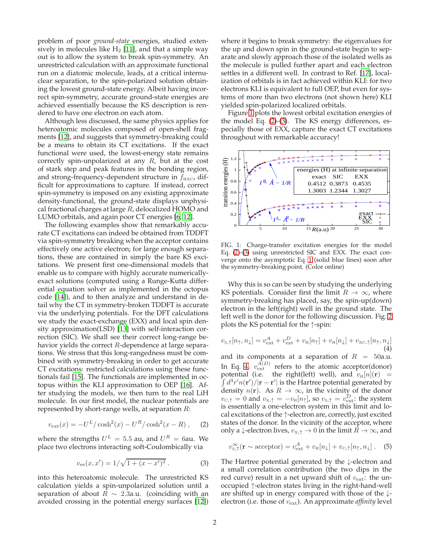problem of poor *ground-state* energies, studied extensively in molecules like  $H_2$  [\[11](#page-4-9)], and that a simple way out is to allow the system to break spin-symmetry. An unrestricted calculation with an approximate functional run on a diatomic molecule, leads, at a critical internuclear separation, to the spin-polarized solution obtaining the lowest ground-state energy. Albeit having incorrect spin-symmetry, accurate ground-state energies are achieved essentially because the KS description is rendered to have one electron on each atom.

Although less discussed, the same physics applies for heteroatomic molecules composed of open-shell fragments [\[12\]](#page-4-10), and suggests that symmetry-breaking could be a means to obtain its CT excitations. If the exact functional were used, the lowest-energy state remains correctly spin-unpolarized at any  $R$ , but at the cost of stark step and peak features in the bonding region, and strong-frequency-dependent structure in  $f_{\text{HXC}}$ , difficult for approximations to capture. If instead, correct spin-symmetry is imposed on any existing approximate density-functional, the ground-state displays unphysical fractional charges at large  $R$ , delocalized HOMO and LUMO orbitals, and again poor CT energies [\[6](#page-4-4), [12](#page-4-10)].

The following examples show that remarkably accurate CT excitations can indeed be obtained from TDDFT via spin-symmetry breaking when the acceptor contains effectively one active electron; for large enough separations, these are contained in simply the bare KS excitations. We present first one-dimensional models that enable us to compare with highly accurate numericallyexact solutions (computed using a Runge-Kutta differential equation solver as implemented in the octopus code [\[14\]](#page-4-11)), and to then analyze and understand in detail why the CT in symmetry-broken TDDFT is accurate via the underlying potentials. For the DFT calculations we study the exact-exchange (EXX) and local spin density approximation(LSD) [\[13\]](#page-4-12) with self-interaction correction (SIC). We shall see their correct long-range behavior yields the correct  $R$ -dependence at large separations. We stress that this long-rangedness must be combined with symmetry-breaking in order to get accurate CT excitations: restricted calculations using these functionals fail [\[15](#page-4-13)]. The functionals are implemented in octopus within the KLI approximation to OEP [\[16\]](#page-4-14). After studying the models, we then turn to the real LiH molecule. In our first model, the nuclear potentials are represented by short-range wells, at separation  $R$ :

<span id="page-1-1"></span>
$$
v_{\rm ext}(x) = -U^L / \cosh^2(x) - U^R / \cosh^2(x - R) , \quad (2)
$$

where the strengths  $U^L = 5.5$  au, and  $U^R = 6$ au. We place two electrons interacting soft-Coulombically via

<span id="page-1-2"></span>
$$
v_{\rm ee}(x, x') = 1/\sqrt{1 + (x - x')^2}.
$$
 (3)

into this heteroatomic molecule. The unrestricted KS calculation yields a spin-unpolarized solution until a separation of about  $R \sim 2.3$ a.u. (coinciding with an avoided crossing in the potential energy surfaces [\[12\]](#page-4-10))

where it begins to break symmetry: the eigenvalues for the up and down spin in the ground-state begin to separate and slowly approach those of the isolated wells as the molecule is pulled further apart and each electron settles in a different well. In contrast to Ref. [\[17](#page-4-15)], localization of orbitals is in fact achieved within KLI: for two electrons KLI is equivalent to full OEP, but even for systems of more than two electrons (not shown here) KLI yielded spin-polarized localized orbitals.

Figure [1](#page-1-0) plots the lowest orbital excitation energies of the model Eq. [\(2\)](#page-1-1)-[\(3\)](#page-1-2). The KS energy differences, especially those of EXX, capture the exact CT excitations throughout with remarkable accuracy!



<span id="page-1-0"></span>FIG. 1: Charge-transfer excitation energies for the model Eq. [\(2\)](#page-1-1)-[\(3\)](#page-1-2) using unrestricted SIC and EXX. The exact converge onto the asymptotic Eq. [1](#page-0-0) (solid blue lines) soon after the symmetry-breaking point. (Color online)

Why this is so can be seen by studying the underlying KS potentials. Consider first the limit  $R \to \infty$ , where symmetry-breaking has placed, say, the spin-up(down) electron in the left(right) well in the ground state. The left well is the donor for the following discussion. Fig. [2](#page-2-0) plots the KS potential for the ↑-spin:

<span id="page-1-3"></span>
$$
v_{\text{S},\uparrow}[n_{\uparrow},n_{\downarrow}] = v_{\text{ext}}^{A} + v_{\text{ext}}^{D} + v_{\text{H}}[n_{\uparrow}] + v_{\text{H}}[n_{\downarrow}] + v_{\text{xc},\uparrow}[n_{\uparrow},n_{\downarrow}] \tag{4}
$$

and its components at a separation of  $R = 50$ a.u. In Eq. [4,](#page-1-3)  $v_{\text{ext}}^{A(D)}$  refers to the atomic acceptor(donor)  $\int d^3r'n(\mathbf{r}')/|\mathbf{r}-\mathbf{r}'|$  is the Hartree potential generated by potential (i.e. the right(left) well), and  $v_H[n](\mathbf{r}) =$ density  $n(\mathbf{r})$ . As  $R \to \infty$ , in the vicinity of the donor  $v_{\text{c},\uparrow} = 0$  and  $v_{\text{x},\uparrow} = -v_{\text{H}}[n_{\uparrow}]$ , so  $v_{\text{s},\uparrow} = v_{\text{ext}}^D$ : the system is essentially a one-electron system in this limit and local excitations of the ↑-electron are, correctly, just excited states of the donor. In the vicinity of the acceptor, where only a ↓-electron lives,  $v_{\text{X},\uparrow} \to 0$  in the limit  $\bar{R} \to \infty$ , and

<span id="page-1-4"></span>
$$
v_{\mathrm{s},\uparrow}^{\infty}(\mathbf{r} \sim \mathrm{acceptor}) = v_{\mathrm{ext}}^A + v_{\mathrm{H}}[n_{\downarrow}] + v_{\mathrm{C},\uparrow}[n_{\uparrow},n_{\downarrow}]. \quad (5)
$$

The Hartree potential generated by the ↓-electron and a small correlation contribution (the two dips in the red curve) result in a net upward shift of  $v_{\text{ext}}$ : the unoccupied ↑-electron states living in the right-hand-well are shifted up in energy compared with those of the ↓ electron (i.e. those of  $v_{\text{ext}}$ ). An approximate *affinity* level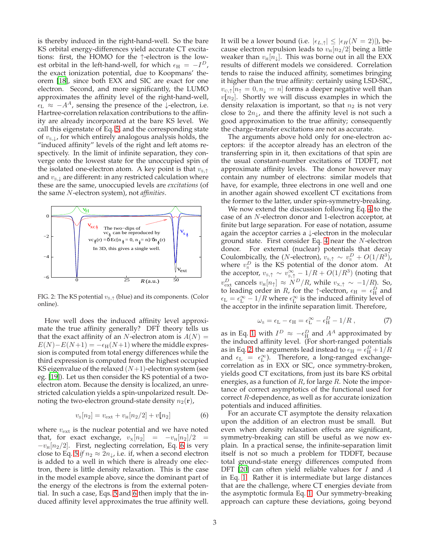is thereby induced in the right-hand-well. So the bare KS orbital energy-differences yield accurate CT excitations: first, the HOMO for the ↑-electron is the lowest orbital in the left-hand-well, for which  $\epsilon_{\rm H} = -I^D$ , the exact ionization potential, due to Koopmans' theorem [\[18\]](#page-4-16), since both EXX and SIC are exact for one electron. Second, and more significantly, the LUMO approximates the affinity level of the right-hand-well,  $\epsilon_{\rm L} \approx -A^A$ , sensing the presence of the  $\downarrow$ -electron, i.e. Hartree-correlation relaxation contributions to the affinity are already incorporated at the bare KS level. We call this eigenstate of Eq. [5,](#page-1-4) and the corresponding state of  $v_{s,\downarrow}$ , for which entirely analogous analysis holds, the "induced affinity" levels of the right and left atoms respectively. In the limit of infinite separation, they converge onto the lowest state for the unoccupied spin of the isolated one-electron atom. A key point is that  $v_{s,\uparrow}$ and  $v_{s,\downarrow}$  are different: in any restricted calculation where these are the same, unoccupied levels are *excitations* (of the same N-electron system), not *affinities*.



<span id="page-2-0"></span>FIG. 2: The KS potential  $v_{s,\uparrow}$  (blue) and its components. (Color online).

How well does the induced affinity level approximate the true affinity generally? DFT theory tells us that the exact affinity of an N-electron atom is  $A(N) =$  $E(N)-E(N+1)=-\epsilon_H(N+1)$  where the middle expression is computed from total energy differences while the third expression is computed from the highest occupied KS eigenvalue of the relaxed  $(N+1)$ -electron system (see eg. [\[19\]](#page-4-17)). Let us then consider the KS potential of a twoelectron atom. Because the density is localized, an unrestricted calculation yields a spin-unpolarized result. Denoting the two-electron ground-state density  $n_2(\mathbf{r})$ ,

<span id="page-2-1"></span>
$$
v_{\rm s}[n_2] = v_{\rm ext} + v_{\rm H}[n_2/2] + v[n_2]
$$
 (6)

where  $v_{\text{ext}}$  is the nuclear potential and we have noted that, for exact exchange,  $v_x[n_2] = -v_\text{H}[n_2]/2 =$  $-v_H[n_2/2]$ . First, neglecting correlation, Eq. [6](#page-2-1) is very close to Eq. [5](#page-1-4) *if*  $n_2 \approx 2n_{\downarrow}$ , i.e. if, when a second electron is added to a well in which there is already one electron, there is little density relaxation. This is the case in the model example above, since the dominant part of the energy of the electrons is from the external potential. In such a case, Eqs. [5](#page-1-4) and [6](#page-2-1) then imply that the induced affinity level approximates the true affinity well. It will be a lower bound (i.e.  $|\epsilon_{L,\uparrow}| \leq |\epsilon_H(N=2)|$ ), because electron repulsion leads to  $v_{\text{H}}[n_2/2]$  being a little weaker than  $v_{\text{H}}[n_{\downarrow}]$ . This was borne out in all the EXX results of different models we considered. Correlation tends to raise the induced affinity, sometimes bringing it higher than the true affinity: certainly using LSD-SIC,  $v_{\text{c},\uparrow}[n_{\uparrow} = 0, n_{\downarrow} = n]$  forms a deeper negative well than  $v[n_2]$ . Shortly we will discuss examples in which the density relaxation is important, so that  $n_2$  is not very close to  $2n_{\downarrow}$ , and there the affinity level is not such a good approximation to the true affinity; consequently the charge-transfer excitations are not as accurate.

The arguments above hold only for one-electron acceptors: if the acceptor already has an electron of the transferring spin in it, then excitations of that spin are the usual constant-number excitations of TDDFT, not approximate affinity levels. The donor however may contain any number of electrons: similar models that have, for example, three electrons in one well and one in another again showed excellent CT excitations from the former to the latter, under spin-symmetry-breaking.

We now extend the discussion following Eq. [4](#page-1-3) to the case of an N-electron donor and 1-electron acceptor, at finite but large separation. For ease of notation, assume again the acceptor carries a  $\downarrow$ -electron in the molecular ground state. First consider Eq. [4](#page-1-3) near the N-electron donor. For external (nuclear) potentials that decay Coulombically, the (*N*-electron),  $v_{s,\uparrow} \sim v_s^D + O(1/R^3)$ , where  $v_s^D$  is the KS potential of the donor atom. At the acceptor,  $v_{s,\uparrow} \sim v_{s,\uparrow}^{\infty} - 1/R + O(1/R^3)$  (noting that  $v_{\text{ext}}^D$  cancels  $v_{\text{H}}[n_\uparrow] \approx N^D/R$ , while  $v_{\text{x},\uparrow} \sim -1/R$ ). So, to leading order in *R*, for the  $\uparrow$ -electron,  $\epsilon_{\rm H} = \epsilon_{\rm H}^D$  and  $\epsilon_{\rm L} = \epsilon_{\rm L}^{\infty} - 1/R$  where  $\epsilon_{\rm L}^{\infty}$  is the induced affinity level of the acceptor in the infinite separation limit. Therefore,

$$
\omega_{\rm s} = \epsilon_{\rm L} - \epsilon_{\rm H} = \epsilon_{\rm L}^{\infty} - \epsilon_{\rm H}^D - 1/R \,, \tag{7}
$$

as in Eq. [1,](#page-0-0) with  $I^D \approx -\epsilon_H^D$  and  $A^A$  approximated by the induced affinity level. (For short-ranged potentials as in Eq. [2,](#page-1-1) the arguments lead instead to  $\epsilon_{\rm H} = \epsilon_{\rm H}^D + 1/R$ and  $\epsilon_{\text{L}} = \epsilon_{\text{L}}^{\infty}$ ). Therefore, a long-ranged exchangecorrelation as in EXX or SIC, once symmetry-broken, yields good CT excitations, from just its bare KS orbital energies, as a function of  $R$ , for large  $R$ . Note the importance of correct asymptotics of the functional used for correct R-dependence, as well as for accurate ionization potentials and induced affinities.

For an accurate CT asymptote the density relaxation upon the addition of an electron must be small. But even when density relaxation effects are significant, symmetry-breaking can still be useful as we now explain. In a practical sense, the infinite-separation limit itself is not so much a problem for TDDFT, because total ground-state energy differences computed from DFT [\[20](#page-4-18)] can often yield reliable values for I and A in Eq. [1.](#page-0-0) Rather it is intermediate but large distances that are the challenge, where CT energies deviate from the asymptotic formula Eq. [1.](#page-0-0) Our symmetry-breaking approach can capture these deviations, going beyond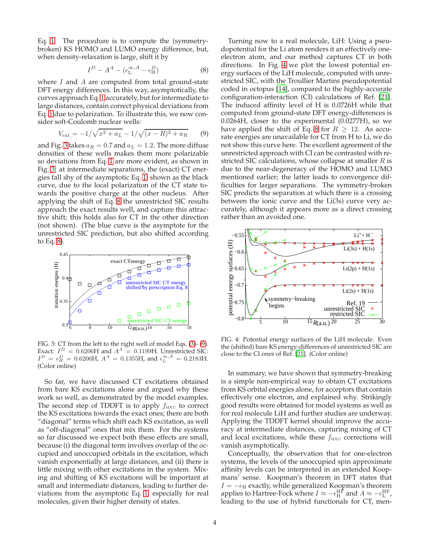Eq. [1.](#page-0-0) The procedure is to compute the (symmetrybroken) KS HOMO and LUMO energy difference, but, when density-relaxation is large, shift it by

<span id="page-3-1"></span>
$$
I^D - A^A - (\epsilon_{\rm L}^{\infty,A} - \epsilon_{\rm H}^D) \tag{8}
$$

where  $I$  and  $A$  are computed from total ground-state DFT energy differences. In this way, asymptotically, the curves approach Eq. [1](#page-0-0) accurately, but for intermediate to large distances, contain correct physical deviations from Eq. [1](#page-0-0) due to polarization. To illustrate this, we now consider soft-Coulomb nuclear wells:

<span id="page-3-2"></span>
$$
V_{\text{ext}} = -1/\sqrt{x^2 + a_L} - 1/\sqrt{(x - R)^2 + a_R} \qquad (9)
$$

and Fig. [3](#page-3-0) takes  $a_R = 0.7$  and  $a_L = 1.2$ . The more diffuse densities of these wells makes them more polarizable so deviations from Eq. [1](#page-0-0) are more evident, as shown in Fig. [3:](#page-3-0) at intermediate separations, the (exact) CT energies fall shy of the asymptotic Eq. [1,](#page-0-0) shown as the black curve, due to the local polarization of the CT state towards the positive charge at the other nucleus. After applying the shift of Eq. [8](#page-3-1) the unrestricted SIC results approach the exact results well, and capture this attractive shift; this holds also for CT in the other direction (not shown). (The blue curve is the asymptote for the unrestricted SIC prediction, but also shifted according to Eq. [8\)](#page-3-1).



<span id="page-3-0"></span>FIG. 3: CT from the left to the right well of model Eqs. [\(3\)](#page-1-2)- [\(9\)](#page-3-2). Exact:  $I^D = 0.6206H$  and  $A^A = 0.1199H$ . Unrestricted SIC:  $I^D = \epsilon_H^D = 0.6206$ H,  $A^A = 0.1355$ H, and  $\epsilon_L^{\infty, A} = 0.2183$ H. (Color online)

So far, we have discussed CT excitations obtained from bare KS excitations alone and argued why these work so well, as demonstrated by the model examples. The second step of TDDFT is to apply  $f_{\text{HXC}}$  to correct the KS excitations towards the exact ones; there are both "diagonal" terms which shift each KS excitation, as well as "off-diagonal" ones that mix them. For the systems so far discussed we expect both these effects are small, because (i) the diagonal term involves overlap of the occupied and unoccupied orbitals in the excitation, which vanish exponentially at large distances, and (ii) there is little mixing with other excitations in the system. Mixing and shifting of KS excitations will be important at small and intermediate distances, leading to further deviations from the asymptotic Eq. [1,](#page-0-0) especially for real molecules, given their higher density of states.

Turning now to a real molecule, LiH: Using a pseudopotential for the Li atom renders it an effectively oneelectron atom, and our method captures CT in both directions. In Fig. [4](#page-3-3) we plot the lowest potential energy surfaces of the LiH molecule, computed with unrestricted SIC, with the Troullier Martins pseudopotential coded in octopus [\[14](#page-4-11)], compared to the highly-accurate configuration-interaction (CI) calculations of Ref. [\[21](#page-4-19)]. The induced affinity level of H is 0.0726H while that computed from ground-state DFT energy-differences is 0.0264H, closer to the experimental (0.0277H), so we have applied the shift of Eq. [8](#page-3-1) for  $R \geq 12$ . As accurate energies are unavailable for CT from H to Li, we do not show this curve here. The excellent agreement of the unrestricted approach with CI can be contrasted with restricted SIC calculations, whose collapse at smaller  $R$  is due to the near-degeneracy of the HOMO and LUMO mentioned earlier; the latter leads to convergence difficulties for larger separations. The symmetry-broken SIC predicts the separation at which there is a crossing between the ionic curve and the Li(3s) curve very accurately, although it appears more as a direct crossing rather than an avoided one.



<span id="page-3-3"></span>FIG. 4: Potential energy surfaces of the LiH molecule. Even the (shifted) bare KS energy-differences of unrestricted SIC are close to the CI ones of Ref. [\[21](#page-4-19)]. (Color online)

In summary, we have shown that symmetry-breaking is a simple non-empirical way to obtain CT excitations from KS orbital energies alone, for acceptors that contain effectively one electron, and explained why. Strikingly good results were obtained for model systems as well as for real molecule LiH and further studies are underway. Applying the TDDFT kernel should improve the accuracy at intermediate distances, capturing mixing of CT and local excitations, while these  $f_{\text{HXC}}$  corrections will vanish asymptotically.

Conceptually, the observation that for one-electron systems, the levels of the unoccupied spin approximate affinity levels can be interpreted in an extended Koopmans' sense. Koopman's theorem in DFT states that  $I = -\epsilon_H$  exactly, while generalized Koopman's theorem applies to Hartree-Fock where  $I \approx -\epsilon_H^{\rm HF}$  and  $A \approx -\epsilon_L^{\rm HF}$ , leading to the use of hybrid functionals for CT, men-